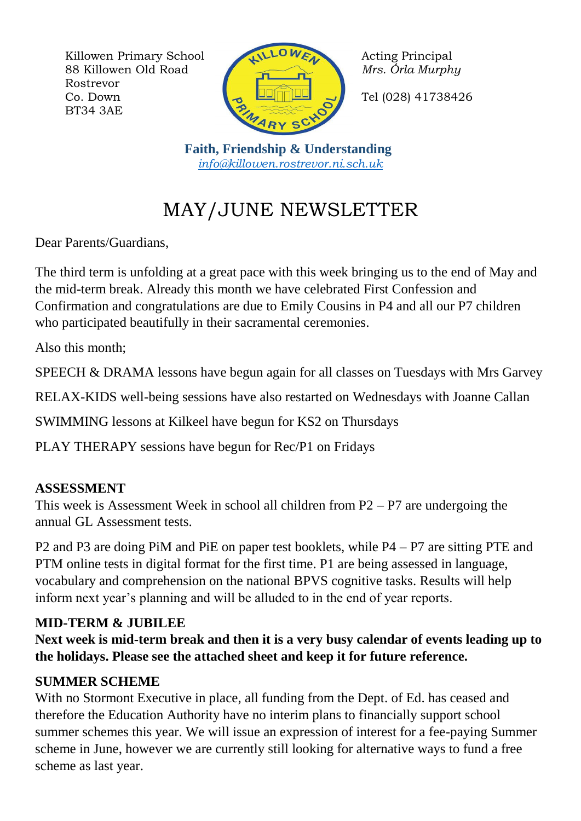Killowen Primary School Acting Principal 88 Killowen Old Road *Mrs. Órla Murphy* Rostrevor Co. Down  $\begin{bmatrix} 1 & \mathbf{1} & \mathbf{1} & \mathbf{1} \\ \mathbf{1} & \mathbf{1} & \mathbf{1} & \mathbf{1} \end{bmatrix}$  Tel (028) 41738426 BT34 3AE



 **Faith, Friendship & Understanding** *[info@killowen.rostrevor.ni.sch.uk](mailto:info@killowen.rostrevor.ni.sch.uk)*

# MAY/JUNE NEWSLETTER

Dear Parents/Guardians,

The third term is unfolding at a great pace with this week bringing us to the end of May and the mid-term break. Already this month we have celebrated First Confession and Confirmation and congratulations are due to Emily Cousins in P4 and all our P7 children who participated beautifully in their sacramental ceremonies.

Also this month;

SPEECH & DRAMA lessons have begun again for all classes on Tuesdays with Mrs Garvey

RELAX-KIDS well-being sessions have also restarted on Wednesdays with Joanne Callan

SWIMMING lessons at Kilkeel have begun for KS2 on Thursdays

PLAY THERAPY sessions have begun for Rec/P1 on Fridays

# **ASSESSMENT**

This week is Assessment Week in school all children from  $P2 - P7$  are undergoing the annual GL Assessment tests.

P2 and P3 are doing PiM and PiE on paper test booklets, while P4 – P7 are sitting PTE and PTM online tests in digital format for the first time. P1 are being assessed in language, vocabulary and comprehension on the national BPVS cognitive tasks. Results will help inform next year's planning and will be alluded to in the end of year reports.

### **MID-TERM & JUBILEE**

**Next week is mid-term break and then it is a very busy calendar of events leading up to the holidays. Please see the attached sheet and keep it for future reference.**

# **SUMMER SCHEME**

With no Stormont Executive in place, all funding from the Dept. of Ed. has ceased and therefore the Education Authority have no interim plans to financially support school summer schemes this year. We will issue an expression of interest for a fee-paying Summer scheme in June, however we are currently still looking for alternative ways to fund a free scheme as last year.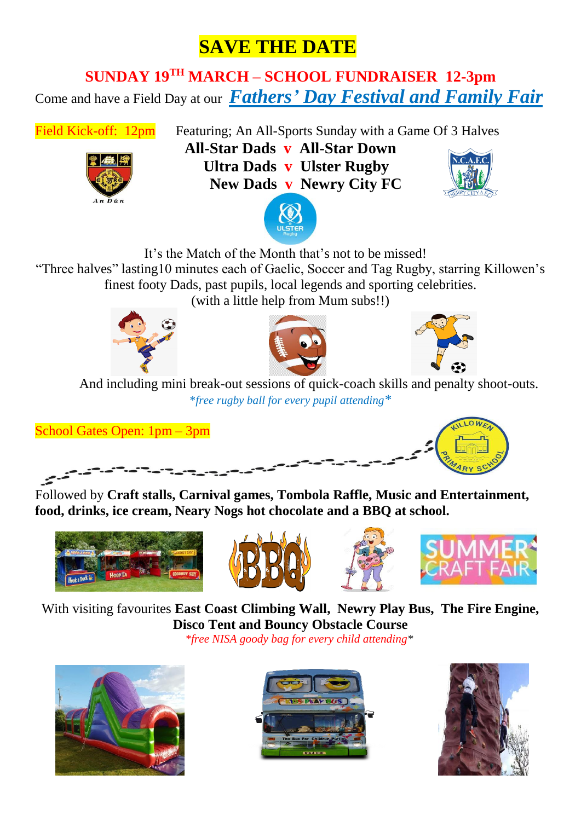# **SAVE THE DATE**

# **SUNDAY 19TH MARCH – SCHOOL FUNDRAISER 12-3pm** Come and have a Field Day at our *Fathers' Day Festival and Family Fair*



Field Kick-off: 12pm Featuring; An All-Sports Sunday with a Game Of 3 Halves **All-Star Dads v All-Star Down Ultra Dads v Ulster Rugby New Dads v Newry City FC**







It's the Match of the Month that's not to be missed!

"Three halves" lasting10 minutes each of Gaelic, Soccer and Tag Rugby, starring Killowen's finest footy Dads, past pupils, local legends and sporting celebrities.

(with a little help from Mum subs!!)







 And including mini break-out sessions of quick-coach skills and penalty shoot-outs. \**free rugby ball for every pupil attending\**

School Gates Open: 1pm – 3pm



Followed by **Craft stalls, Carnival games, Tombola Raffle, Music and Entertainment, food, drinks, ice cream, Neary Nogs hot chocolate and a BBQ at school.**









With visiting favourites **East Coast Climbing Wall, Newry Play Bus, The Fire Engine, Disco Tent and Bouncy Obstacle Course**

*\*free NISA goody bag for every child attending\**